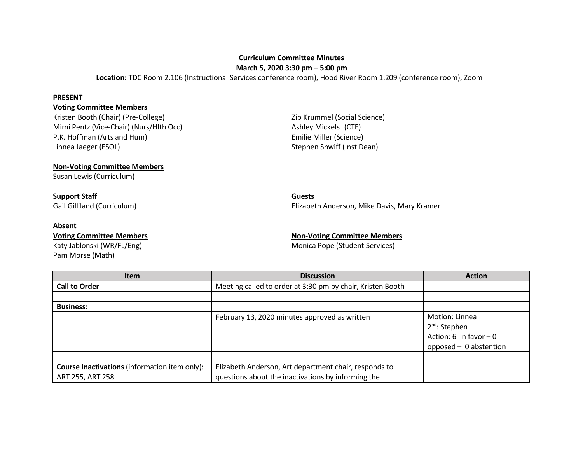## **Curriculum Committee Minutes**

**March 5, 2020 3:30 pm – 5:00 pm**

**Location:** TDC Room 2.106 (Instructional Services conference room), Hood River Room 1.209 (conference room), Zoom

### **PRESENT**

## **Voting Committee Members**

Kristen Booth (Chair) (Pre-College) **Xanadia Access 21 Mars 2**ip Krummel (Social Science) Mimi Pentz (Vice-Chair) (Nurs/Hlth Occ) Ashley Mickels (CTE) P.K. Hoffman (Arts and Hum) **Emilie Miller (Science)** Linnea Jaeger (ESOL) Stephen Shwiff (Inst Dean)

## **Non-Voting Committee Members**

Susan Lewis (Curriculum)

# **Support Staff Guests**

## **Absent**

Pam Morse (Math)

Gail Gilliland (Curriculum) Elizabeth Anderson, Mike Davis, Mary Kramer

## **Voting Committee Members Non-Voting Committee Members**

Katy Jablonski (WR/FL/Eng) Monica Pope (Student Services)

| <b>Item</b>                                          | <b>Discussion</b>                                          | <b>Action</b>                                                                                    |
|------------------------------------------------------|------------------------------------------------------------|--------------------------------------------------------------------------------------------------|
| <b>Call to Order</b>                                 | Meeting called to order at 3:30 pm by chair, Kristen Booth |                                                                                                  |
|                                                      |                                                            |                                                                                                  |
| <b>Business:</b>                                     |                                                            |                                                                                                  |
|                                                      | February 13, 2020 minutes approved as written              | Motion: Linnea<br>2 <sup>nd</sup> : Stephen<br>Action: 6 in favor $-0$<br>opposed - 0 abstention |
|                                                      |                                                            |                                                                                                  |
| <b>Course Inactivations</b> (information item only): | Elizabeth Anderson, Art department chair, responds to      |                                                                                                  |
| ART 255, ART 258                                     | questions about the inactivations by informing the         |                                                                                                  |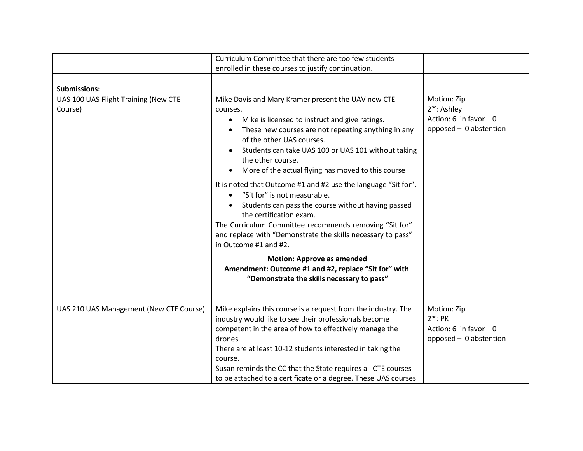|                                                 | Curriculum Committee that there are too few students                                                                                                                                                                                                                                                                                                                                                                                                                                                                                                                                                                                                                        |                                                                                              |
|-------------------------------------------------|-----------------------------------------------------------------------------------------------------------------------------------------------------------------------------------------------------------------------------------------------------------------------------------------------------------------------------------------------------------------------------------------------------------------------------------------------------------------------------------------------------------------------------------------------------------------------------------------------------------------------------------------------------------------------------|----------------------------------------------------------------------------------------------|
|                                                 | enrolled in these courses to justify continuation.                                                                                                                                                                                                                                                                                                                                                                                                                                                                                                                                                                                                                          |                                                                                              |
|                                                 |                                                                                                                                                                                                                                                                                                                                                                                                                                                                                                                                                                                                                                                                             |                                                                                              |
| <b>Submissions:</b>                             |                                                                                                                                                                                                                                                                                                                                                                                                                                                                                                                                                                                                                                                                             |                                                                                              |
| UAS 100 UAS Flight Training (New CTE<br>Course) | Mike Davis and Mary Kramer present the UAV new CTE<br>courses.<br>Mike is licensed to instruct and give ratings.<br>These new courses are not repeating anything in any<br>of the other UAS courses.<br>Students can take UAS 100 or UAS 101 without taking<br>the other course.<br>More of the actual flying has moved to this course<br>It is noted that Outcome #1 and #2 use the language "Sit for".<br>"Sit for" is not measurable.<br>Students can pass the course without having passed<br>the certification exam.<br>The Curriculum Committee recommends removing "Sit for"<br>and replace with "Demonstrate the skills necessary to pass"<br>in Outcome #1 and #2. | Motion: Zip<br>2 <sup>nd</sup> : Ashley<br>Action: 6 in favor $-0$<br>opposed - 0 abstention |
|                                                 | <b>Motion: Approve as amended</b>                                                                                                                                                                                                                                                                                                                                                                                                                                                                                                                                                                                                                                           |                                                                                              |
|                                                 | Amendment: Outcome #1 and #2, replace "Sit for" with                                                                                                                                                                                                                                                                                                                                                                                                                                                                                                                                                                                                                        |                                                                                              |
|                                                 | "Demonstrate the skills necessary to pass"                                                                                                                                                                                                                                                                                                                                                                                                                                                                                                                                                                                                                                  |                                                                                              |
|                                                 |                                                                                                                                                                                                                                                                                                                                                                                                                                                                                                                                                                                                                                                                             |                                                                                              |
| UAS 210 UAS Management (New CTE Course)         | Mike explains this course is a request from the industry. The<br>industry would like to see their professionals become<br>competent in the area of how to effectively manage the<br>drones.<br>There are at least 10-12 students interested in taking the<br>course.<br>Susan reminds the CC that the State requires all CTE courses<br>to be attached to a certificate or a degree. These UAS courses                                                                                                                                                                                                                                                                      | Motion: Zip<br>$2^{nd}$ : PK<br>Action: 6 in favor $-0$<br>opposed - 0 abstention            |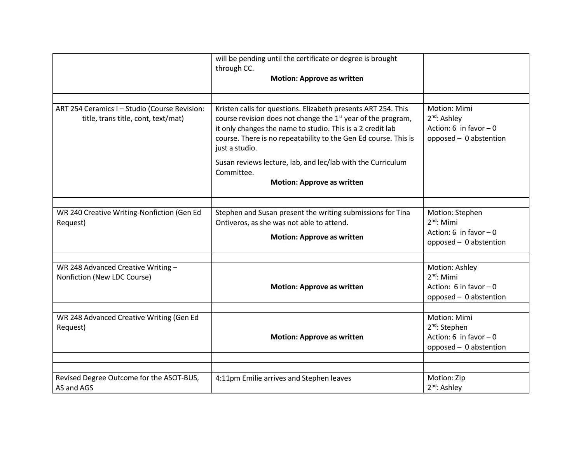|                                                                                      | will be pending until the certificate or degree is brought<br>through CC.<br><b>Motion: Approve as written</b>                                                                                                                                                                                                                                                                                                 |                                                                                               |
|--------------------------------------------------------------------------------------|----------------------------------------------------------------------------------------------------------------------------------------------------------------------------------------------------------------------------------------------------------------------------------------------------------------------------------------------------------------------------------------------------------------|-----------------------------------------------------------------------------------------------|
| ART 254 Ceramics I - Studio (Course Revision:<br>title, trans title, cont, text/mat) | Kristen calls for questions. Elizabeth presents ART 254. This<br>course revision does not change the 1 <sup>st</sup> year of the program,<br>it only changes the name to studio. This is a 2 credit lab<br>course. There is no repeatability to the Gen Ed course. This is<br>just a studio.<br>Susan reviews lecture, lab, and lec/lab with the Curriculum<br>Committee.<br><b>Motion: Approve as written</b> | Motion: Mimi<br>2 <sup>nd</sup> : Ashley<br>Action: 6 in favor $-0$<br>opposed - 0 abstention |
| WR 240 Creative Writing-Nonfiction (Gen Ed<br>Request)                               | Stephen and Susan present the writing submissions for Tina<br>Ontiveros, as she was not able to attend.<br><b>Motion: Approve as written</b>                                                                                                                                                                                                                                                                   | Motion: Stephen<br>$2nd$ : Mimi<br>Action: 6 in favor $-0$<br>opposed - 0 abstention          |
| WR 248 Advanced Creative Writing -<br>Nonfiction (New LDC Course)                    | <b>Motion: Approve as written</b>                                                                                                                                                                                                                                                                                                                                                                              | Motion: Ashley<br>$2^{nd}$ : Mimi<br>Action: 6 in favor $-0$<br>opposed - 0 abstention        |
| WR 248 Advanced Creative Writing (Gen Ed<br>Request)                                 | <b>Motion: Approve as written</b>                                                                                                                                                                                                                                                                                                                                                                              | Motion: Mimi<br>$2nd$ : Stephen<br>Action: 6 in favor $-0$<br>opposed - 0 abstention          |
| Revised Degree Outcome for the ASOT-BUS,<br>AS and AGS                               | 4:11pm Emilie arrives and Stephen leaves                                                                                                                                                                                                                                                                                                                                                                       | Motion: Zip<br>2 <sup>nd</sup> : Ashley                                                       |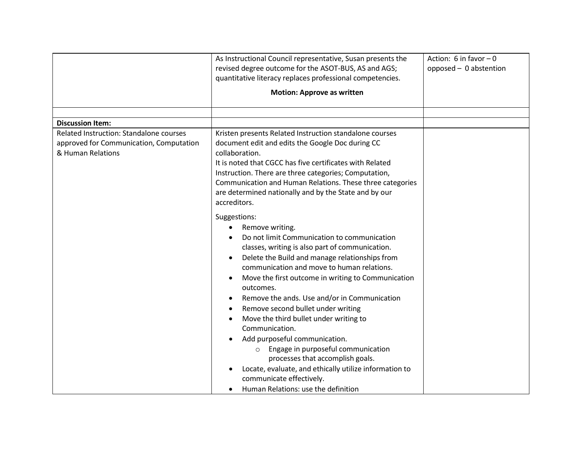|                                         | As Instructional Council representative, Susan presents the                                                                                                                                                                                                                                                                                                                                                                                                                                                                                                                                                                                                             | Action: 6 in favor $-0$ |
|-----------------------------------------|-------------------------------------------------------------------------------------------------------------------------------------------------------------------------------------------------------------------------------------------------------------------------------------------------------------------------------------------------------------------------------------------------------------------------------------------------------------------------------------------------------------------------------------------------------------------------------------------------------------------------------------------------------------------------|-------------------------|
|                                         | revised degree outcome for the ASOT-BUS, AS and AGS;                                                                                                                                                                                                                                                                                                                                                                                                                                                                                                                                                                                                                    | opposed - 0 abstention  |
|                                         | quantitative literacy replaces professional competencies.                                                                                                                                                                                                                                                                                                                                                                                                                                                                                                                                                                                                               |                         |
|                                         |                                                                                                                                                                                                                                                                                                                                                                                                                                                                                                                                                                                                                                                                         |                         |
|                                         | <b>Motion: Approve as written</b>                                                                                                                                                                                                                                                                                                                                                                                                                                                                                                                                                                                                                                       |                         |
|                                         |                                                                                                                                                                                                                                                                                                                                                                                                                                                                                                                                                                                                                                                                         |                         |
| <b>Discussion Item:</b>                 |                                                                                                                                                                                                                                                                                                                                                                                                                                                                                                                                                                                                                                                                         |                         |
| Related Instruction: Standalone courses | Kristen presents Related Instruction standalone courses                                                                                                                                                                                                                                                                                                                                                                                                                                                                                                                                                                                                                 |                         |
| approved for Communication, Computation | document edit and edits the Google Doc during CC                                                                                                                                                                                                                                                                                                                                                                                                                                                                                                                                                                                                                        |                         |
| & Human Relations                       | collaboration.                                                                                                                                                                                                                                                                                                                                                                                                                                                                                                                                                                                                                                                          |                         |
|                                         | It is noted that CGCC has five certificates with Related                                                                                                                                                                                                                                                                                                                                                                                                                                                                                                                                                                                                                |                         |
|                                         | Instruction. There are three categories; Computation,                                                                                                                                                                                                                                                                                                                                                                                                                                                                                                                                                                                                                   |                         |
|                                         | Communication and Human Relations. These three categories                                                                                                                                                                                                                                                                                                                                                                                                                                                                                                                                                                                                               |                         |
|                                         | are determined nationally and by the State and by our                                                                                                                                                                                                                                                                                                                                                                                                                                                                                                                                                                                                                   |                         |
|                                         | accreditors.                                                                                                                                                                                                                                                                                                                                                                                                                                                                                                                                                                                                                                                            |                         |
|                                         | Suggestions:<br>Remove writing.<br>Do not limit Communication to communication<br>classes, writing is also part of communication.<br>Delete the Build and manage relationships from<br>communication and move to human relations.<br>Move the first outcome in writing to Communication<br>outcomes.<br>Remove the ands. Use and/or in Communication<br>Remove second bullet under writing<br>٠<br>Move the third bullet under writing to<br>Communication.<br>Add purposeful communication.<br>Engage in purposeful communication<br>$\circ$<br>processes that accomplish goals.<br>Locate, evaluate, and ethically utilize information to<br>communicate effectively. |                         |
|                                         | Human Relations: use the definition                                                                                                                                                                                                                                                                                                                                                                                                                                                                                                                                                                                                                                     |                         |